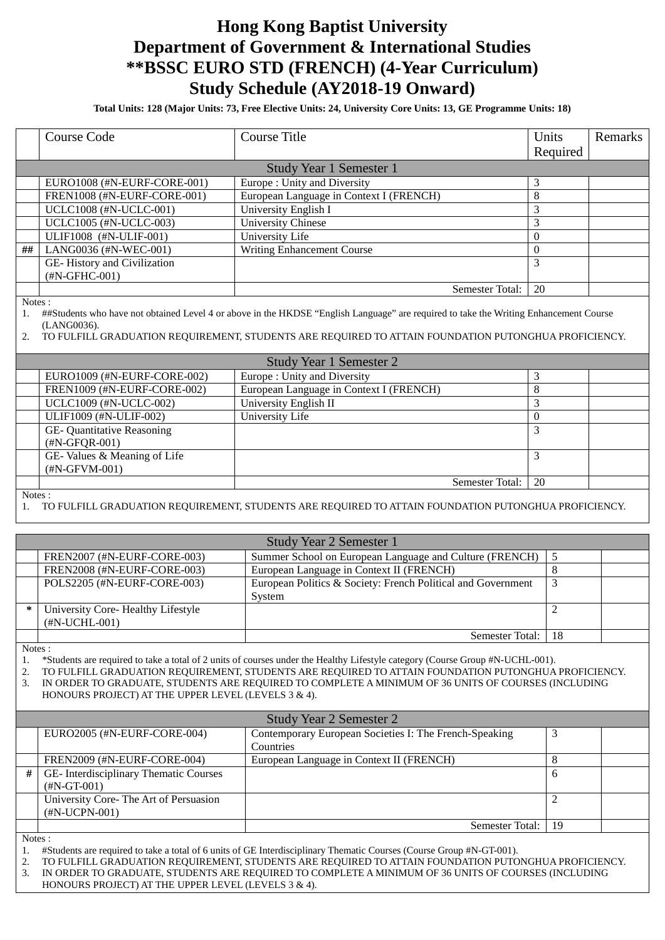## **Hong Kong Baptist University Department of Government & International Studies \*\*BSSC EURO STD (FRENCH) (4-Year Curriculum) Study Schedule (AY2018-19 Onward)**

**Total Units: 128 (Major Units: 73, Free Elective Units: 24, University Core Units: 13, GE Programme Units: 18)**

|                | <b>Course Code</b>                                                                                                                                                                                                                                                                                                                                                                                  | <b>Course Title</b>                                                                                  | Units          | Remarks |
|----------------|-----------------------------------------------------------------------------------------------------------------------------------------------------------------------------------------------------------------------------------------------------------------------------------------------------------------------------------------------------------------------------------------------------|------------------------------------------------------------------------------------------------------|----------------|---------|
|                |                                                                                                                                                                                                                                                                                                                                                                                                     |                                                                                                      | Required       |         |
|                |                                                                                                                                                                                                                                                                                                                                                                                                     | Study Year 1 Semester 1                                                                              |                |         |
|                | EURO1008 (#N-EURF-CORE-001)                                                                                                                                                                                                                                                                                                                                                                         | Europe: Unity and Diversity                                                                          | 3              |         |
|                | FREN1008 (#N-EURF-CORE-001)                                                                                                                                                                                                                                                                                                                                                                         | European Language in Context I (FRENCH)                                                              | 8              |         |
|                | UCLC1008 (#N-UCLC-001)                                                                                                                                                                                                                                                                                                                                                                              | University English I                                                                                 | 3              |         |
|                | <b>UCLC1005</b> (#N-UCLC-003)                                                                                                                                                                                                                                                                                                                                                                       | <b>University Chinese</b>                                                                            | 3              |         |
|                | ULIF1008 (#N-ULIF-001)                                                                                                                                                                                                                                                                                                                                                                              | University Life                                                                                      | $\theta$       |         |
| ##             | LANG0036 (#N-WEC-001)                                                                                                                                                                                                                                                                                                                                                                               | Writing Enhancement Course                                                                           | $\mathbf{0}$   |         |
|                | GE-History and Civilization<br>(#N-GFHC-001)                                                                                                                                                                                                                                                                                                                                                        |                                                                                                      | 3              |         |
|                |                                                                                                                                                                                                                                                                                                                                                                                                     | Semester Total:                                                                                      | 20             |         |
| 2.             | Notes:<br>##Students who have not obtained Level 4 or above in the HKDSE "English Language" are required to take the Writing Enhancement Course<br>(LANG0036).<br>TO FULFILL GRADUATION REQUIREMENT, STUDENTS ARE REQUIRED TO ATTAIN FOUNDATION PUTONGHUA PROFICIENCY.                                                                                                                              |                                                                                                      |                |         |
|                |                                                                                                                                                                                                                                                                                                                                                                                                     | Study Year 1 Semester 2                                                                              |                |         |
|                | EURO1009 (#N-EURF-CORE-002)                                                                                                                                                                                                                                                                                                                                                                         | Europe: Unity and Diversity                                                                          | 3              |         |
|                | FREN1009 (#N-EURF-CORE-002)                                                                                                                                                                                                                                                                                                                                                                         | European Language in Context I (FRENCH)                                                              | 8              |         |
|                | UCLC1009 (#N-UCLC-002)                                                                                                                                                                                                                                                                                                                                                                              | University English II                                                                                | 3              |         |
|                | ULIF1009 (#N-ULIF-002)                                                                                                                                                                                                                                                                                                                                                                              | University Life                                                                                      | $\theta$       |         |
|                | GE-Quantitative Reasoning<br>(#N-GFQR-001)                                                                                                                                                                                                                                                                                                                                                          |                                                                                                      | 3              |         |
|                | GE-Values & Meaning of Life<br>(#N-GFVM-001)                                                                                                                                                                                                                                                                                                                                                        |                                                                                                      | 3              |         |
|                |                                                                                                                                                                                                                                                                                                                                                                                                     | Semester Total:                                                                                      | 20             |         |
| Notes:         |                                                                                                                                                                                                                                                                                                                                                                                                     |                                                                                                      |                |         |
|                |                                                                                                                                                                                                                                                                                                                                                                                                     | TO FULFILL GRADUATION REQUIREMENT, STUDENTS ARE REQUIRED TO ATTAIN FOUNDATION PUTONGHUA PROFICIENCY. |                |         |
|                | <b>Study Year 2 Semester 1</b>                                                                                                                                                                                                                                                                                                                                                                      |                                                                                                      |                |         |
|                | FREN2007 (#N-EURF-CORE-003)                                                                                                                                                                                                                                                                                                                                                                         | Summer School on European Language and Culture (FRENCH)                                              | 5              |         |
|                | FREN2008 (#N-EURF-CORE-003)                                                                                                                                                                                                                                                                                                                                                                         | European Language in Context II (FRENCH)                                                             | $8\,$          |         |
|                | POLS2205 (#N-EURF-CORE-003)                                                                                                                                                                                                                                                                                                                                                                         | European Politics & Society: French Political and Government<br>System                               | 3              |         |
| $\ast$         | University Core-Healthy Lifestyle<br>$(\text{\#N-UCHL-001})$                                                                                                                                                                                                                                                                                                                                        |                                                                                                      | $\overline{2}$ |         |
|                |                                                                                                                                                                                                                                                                                                                                                                                                     | Semester Total:                                                                                      | 18             |         |
| Notes:         |                                                                                                                                                                                                                                                                                                                                                                                                     |                                                                                                      |                |         |
| 1.<br>2.<br>3. | *Students are required to take a total of 2 units of courses under the Healthy Lifestyle category (Course Group #N-UCHL-001).<br>TO FULFILL GRADUATION REQUIREMENT, STUDENTS ARE REQUIRED TO ATTAIN FOUNDATION PUTONGHUA PROFICIENCY.<br>IN ORDER TO GRADUATE, STUDENTS ARE REQUIRED TO COMPLETE A MINIMUM OF 36 UNITS OF COURSES (INCLUDING<br>HONOURS PROJECT) AT THE UPPER LEVEL (LEVELS 3 & 4). |                                                                                                      |                |         |
|                | <b>Study Year 2 Semester 2</b>                                                                                                                                                                                                                                                                                                                                                                      |                                                                                                      |                |         |
|                | EURO2005 (#N-EURF-CORE-004)                                                                                                                                                                                                                                                                                                                                                                         | Contemporary European Societies I: The French-Speaking<br>Countries                                  | 3              |         |
|                | FREN2009 (#N-EURF-CORE-004)                                                                                                                                                                                                                                                                                                                                                                         | European Language in Context II (FRENCH)                                                             | $8\,$          |         |
| #              | GE-Interdisciplinary Thematic Courses<br>$(HN-GT-001)$                                                                                                                                                                                                                                                                                                                                              |                                                                                                      | 6              |         |
|                | University Core-The Art of Persuasion<br>$(HN-UCPN-001)$                                                                                                                                                                                                                                                                                                                                            |                                                                                                      | $\overline{2}$ |         |
|                |                                                                                                                                                                                                                                                                                                                                                                                                     | Semester Total:                                                                                      | 19             |         |
| Notes:         |                                                                                                                                                                                                                                                                                                                                                                                                     |                                                                                                      |                |         |

- 1. #Students are required to take a total of 6 units of GE Interdisciplinary Thematic Courses (Course Group #N-GT-001).
- 2. TO FULFILL GRADUATION REQUIREMENT, STUDENTS ARE REQUIRED TO ATTAIN FOUNDATION PUTONGHUA PROFICIENCY.<br>3. IN ORDER TO GRADUATE, STUDENTS ARE REQUIRED TO COMPLETE A MINIMUM OF 36 UNITS OF COURSES (INCLUDING 3. IN ORDER TO GRADUATE, STUDENTS ARE REQUIRED TO COMPLETE A MINIMUM OF 36 UNITS OF COURSES (INCLUDING HONOURS PROJECT) AT THE UPPER LEVEL (LEVELS 3 & 4).